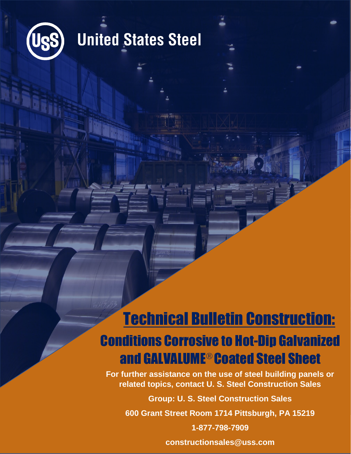

## **United States Steel**

## Technical Bulletin Construction: Conditions Corrosive to Hot-Dip Galvanized and GALVALUME® Coated Steel Sheet

**For further assistance on the use of steel building panels or related topics, contact U. S. Steel Construction Sales**

**Group: U. S. Steel Construction Sales**

**600 Grant Street Room 1714 Pittsburgh, PA 15219**

**1-877-798-7909**

**constructionsales@uss.com**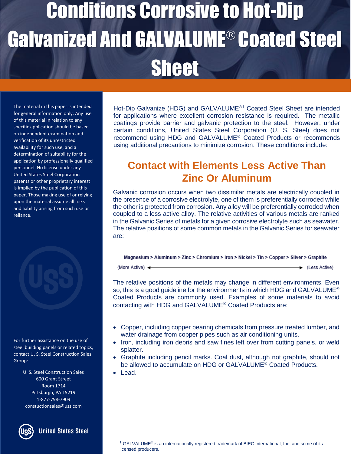# Conditions Corrosive to Hot-Dip **Galvanized And GALVALUME<sup>®</sup> Coated Steel** Sheet

The material in this paper is intended for general information only. Any use of this material in relation to any specific application should be based on independent examination and verification of its unrestricted availability for such use, and a determination of suitability for the application by professionally qualified personnel. No license under any United States Steel Corporation patents or other proprietary interest is implied by the publication of this paper. Those making use of or relying upon the material assume all risks and liability arising from such use or reliance.



For further assistance on the use of steel building panels or related topics, contact U. S. Steel Construction Sales Group:

> U. S. Steel Construction Sales 600 Grant Street Room 1714 Pittsburgh, PA 15219 1-877-798-7909 constuctionsales@uss.com

**United States Steel** 

Hot-Dip Galvanize (HDG) and GALVALUME<sup>®1</sup> Coated Steel Sheet are intended for applications where excellent corrosion resistance is required. The metallic coatings provide barrier and galvanic protection to the steel. However, under certain conditions, United States Steel Corporation (U. S. Steel) does not recommend using HDG and GALVALUME<sup>®</sup> Coated Products or recommends using additional precautions to minimize corrosion. These conditions include:

### **Contact with Elements Less Active Than Zinc Or Aluminum**

Galvanic corrosion occurs when two dissimilar metals are electrically coupled in the presence of a corrosive electrolyte, one of them is preferentially corroded while the other is protected from corrosion. Any alloy will be preferentially corroded when coupled to a less active alloy. The relative activities of various metals are ranked in the Galvanic Series of metals for a given corrosive electrolyte such as seawater. The relative positions of some common metals in the Galvanic Series for seawater are:

#### Magnesium > Aluminum > Zinc > Chromium > Iron > Nickel > Tin > Copper > Silver > Graphite

(More Active) <

+ (Less Active)

The relative positions of the metals may change in different environments. Even so, this is a good guideline for the environments in which HDG and GALVALUME<sup>®</sup> Coated Products are commonly used. Examples of some materials to avoid contacting with HDG and GALVALUME<sup>®</sup> Coated Products are:

- Copper, including copper bearing chemicals from pressure treated lumber, and water drainage from copper pipes such as air conditioning units.
- Iron, including iron debris and saw fines left over from cutting panels, or weld splatter.
- Graphite including pencil marks. Coal dust, although not graphite, should not be allowed to accumulate on HDG or GALVALUME<sup>®</sup> Coated Products.
- Lead.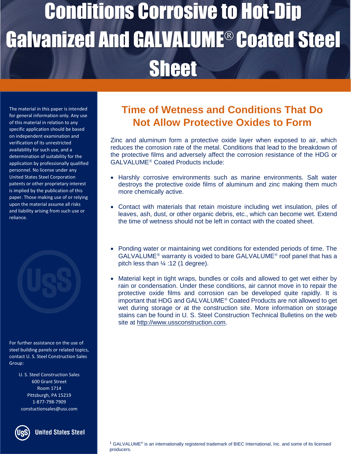# Conditions Corrosive to Hot-Dip Galvanized And GALVALUME® Coated Steel **Sheet**

The material in this paper is intended for general information only. Any use of this material in relation to any specific application should be based on independent examination and verification of its unrestricted availability for such use, and a determination of suitability for the application by professionally qualified personnel. No license under any United States Steel Corporation patents or other proprietary interest is implied by the publication of this paper. Those making use of or relying upon the material assume all risks and liability arising from such use or reliance.

For further assistance on the use of steel building panels or related topics, contact U. S. Steel Construction Sales Group:

> U. S. Steel Construction Sales 600 Grant Street Room 1714 Pittsburgh, PA 15219 1-877-798-7909 constuctionsales@uss.com



**United States Steel** 

### **Time of Wetness and Conditions That Do Not Allow Protective Oxides to Form**

Zinc and aluminum form a protective oxide layer when exposed to air, which reduces the corrosion rate of the metal. Conditions that lead to the breakdown of the protective films and adversely affect the corrosion resistance of the HDG or GALVALUME<sup>®</sup> Coated Products include:

- Harshly corrosive environments such as marine environments. Salt water destroys the protective oxide films of aluminum and zinc making them much more chemically active.
- Contact with materials that retain moisture including wet insulation, piles of leaves, ash, dust, or other organic debris, etc., which can become wet. Extend the time of wetness should not be left in contact with the coated sheet.
- Ponding water or maintaining wet conditions for extended periods of time. The  $GALVALUME<sup>®</sup>$  warranty is voided to bare  $GALVALUME<sup>®</sup>$  roof panel that has a pitch less than  $\frac{1}{4}$  :12 (1 degree).
- Material kept in tight wraps, bundles or coils and allowed to get wet either by rain or condensation. Under these conditions, air cannot move in to repair the protective oxide films and corrosion can be developed quite rapidly. It is important that HDG and GALVALUME<sup>®</sup> Coated Products are not allowed to get wet during storage or at the construction site. More information on storage stains can be found in U. S. Steel Construction Technical Bulletins on the web site at [http://www.ussconstruction.com.](http://www.ussconstruction.com/)